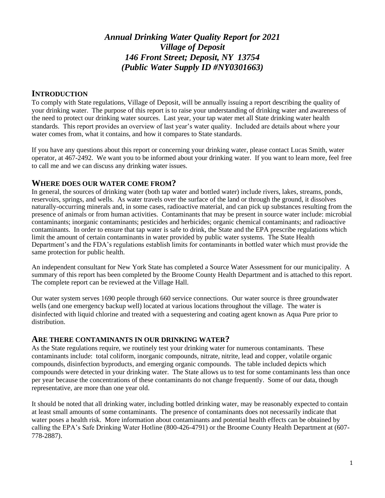# *Annual Drinking Water Quality Report for 2021 Village of Deposit 146 Front Street; Deposit, NY 13754 (Public Water Supply ID #NY0301663)*

### **INTRODUCTION**

To comply with State regulations, Village of Deposit, will be annually issuing a report describing the quality of your drinking water. The purpose of this report is to raise your understanding of drinking water and awareness of the need to protect our drinking water sources. Last year, your tap water met all State drinking water health standards. This report provides an overview of last year's water quality. Included are details about where your water comes from, what it contains, and how it compares to State standards.

If you have any questions about this report or concerning your drinking water, please contact Lucas Smith, water operator, at 467-2492. We want you to be informed about your drinking water. If you want to learn more, feel free to call me and we can discuss any drinking water issues.

### **WHERE DOES OUR WATER COME FROM?**

In general, the sources of drinking water (both tap water and bottled water) include rivers, lakes, streams, ponds, reservoirs, springs, and wells. As water travels over the surface of the land or through the ground, it dissolves naturally-occurring minerals and, in some cases, radioactive material, and can pick up substances resulting from the presence of animals or from human activities. Contaminants that may be present in source water include: microbial contaminants; inorganic contaminants; pesticides and herbicides; organic chemical contaminants; and radioactive contaminants. In order to ensure that tap water is safe to drink, the State and the EPA prescribe regulations which limit the amount of certain contaminants in water provided by public water systems. The State Health Department's and the FDA's regulations establish limits for contaminants in bottled water which must provide the same protection for public health.

An independent consultant for New York State has completed a Source Water Assessment for our municipality. A summary of this report has been completed by the Broome County Health Department and is attached to this report. The complete report can be reviewed at the Village Hall.

Our water system serves 1690 people through 660 service connections. Our water source is three groundwater wells (and one emergency backup well) located at various locations throughout the village. The water is disinfected with liquid chlorine and treated with a sequestering and coating agent known as Aqua Pure prior to distribution.

#### **ARE THERE CONTAMINANTS IN OUR DRINKING WATER?**

As the State regulations require, we routinely test your drinking water for numerous contaminants. These contaminants include: total coliform, inorganic compounds, nitrate, nitrite, lead and copper, volatile organic compounds, disinfection byproducts, and emerging organic compounds. The table included depicts which compounds were detected in your drinking water. The State allows us to test for some contaminants less than once per year because the concentrations of these contaminants do not change frequently. Some of our data, though representative, are more than one year old.

It should be noted that all drinking water, including bottled drinking water, may be reasonably expected to contain at least small amounts of some contaminants. The presence of contaminants does not necessarily indicate that water poses a health risk. More information about contaminants and potential health effects can be obtained by calling the EPA's Safe Drinking Water Hotline (800-426-4791) or the Broome County Health Department at (607- 778-2887).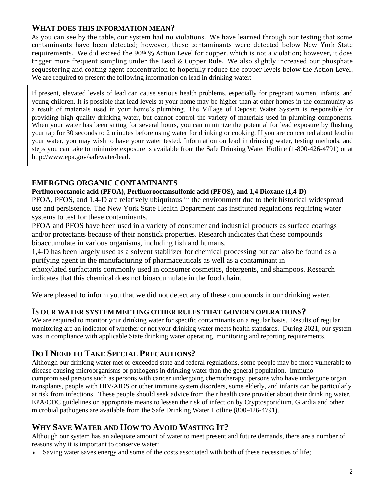## **WHAT DOES THIS INFORMATION MEAN?**

As you can see by the table, our system had no violations. We have learned through our testing that some contaminants have been detected; however, these contaminants were detected below New York State requirements. We did exceed the  $90<sup>th</sup>$ % Action Level for copper, which is not a violation; however, it does trigger more frequent sampling under the Lead & Copper Rule. We also slightly increased our phosphate sequestering and coating agent concentration to hopefully reduce the copper levels below the Action Level. We are required to present the following information on lead in drinking water:

If present, elevated levels of lead can cause serious health problems, especially for pregnant women, infants, and young children. It is possible that lead levels at your home may be higher than at other homes in the community as a result of materials used in your home's plumbing. The Village of Deposit Water System is responsible for providing high quality drinking water, but cannot control the variety of materials used in plumbing components. When your water has been sitting for several hours, you can minimize the potential for lead exposure by flushing your tap for 30 seconds to 2 minutes before using water for drinking or cooking. If you are concerned about lead in your water, you may wish to have your water tested. Information on lead in drinking water, testing methods, and steps you can take to minimize exposure is available from the Safe Drinking Water Hotline (1-800-426-4791) or at http://www.epa.gov/safewater/lead.

## **EMERGING ORGANIC CONTAMINANTS**

#### **Perfluorooctanoic acid (PFOA), Perfluorooctansulfonic acid (PFOS), and 1,4 Dioxane (1,4-D)**

PFOA, PFOS, and 1,4-D are relatively ubiquitous in the environment due to their historical widespread use and persistence. The New York State Health Department has instituted regulations requiring water systems to test for these contaminants.

PFOA and PFOS have been used in a variety of consumer and industrial products as surface coatings and/or protectants because of their nonstick properties. Research indicates that these compounds bioaccumulate in various organisms, including fish and humans.

1,4-D has been largely used as a solvent stabilizer for chemical processing but can also be found as a purifying agent in the manufacturing of pharmaceuticals as well as a contaminant in ethoxylated surfactants commonly used in consumer cosmetics, detergents, and shampoos. Research indicates that this chemical does not bioaccumulate in the food chain.

We are pleased to inform you that we did not detect any of these compounds in our drinking water.

### **IS OUR WATER SYSTEM MEETING OTHER RULES THAT GOVERN OPERATIONS?**

We are required to monitor your drinking water for specific contaminants on a regular basis. Results of regular monitoring are an indicator of whether or not your drinking water meets health standards. During 2021, our system was in compliance with applicable State drinking water operating, monitoring and reporting requirements.

## **DO I NEED TO TAKE SPECIAL PRECAUTIONS?**

Although our drinking water met or exceeded state and federal regulations, some people may be more vulnerable to disease causing microorganisms or pathogens in drinking water than the general population. Immunocompromised persons such as persons with cancer undergoing chemotherapy, persons who have undergone organ transplants, people with HIV/AIDS or other immune system disorders, some elderly, and infants can be particularly at risk from infections. These people should seek advice from their health care provider about their drinking water. EPA/CDC guidelines on appropriate means to lessen the risk of infection by Cryptosporidium, Giardia and other microbial pathogens are available from the Safe Drinking Water Hotline (800-426-4791).

## **WHY SAVE WATER AND HOW TO AVOID WASTING IT?**

Although our system has an adequate amount of water to meet present and future demands, there are a number of reasons why it is important to conserve water:

Saving water saves energy and some of the costs associated with both of these necessities of life;